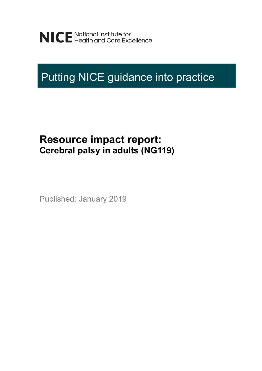NICE National Institute for<br>NICE Health and Care Excellence

# Putting NICE guidance into practice

## **Resource impact report: Cerebral palsy in adults (NG119)**

Published: January 2019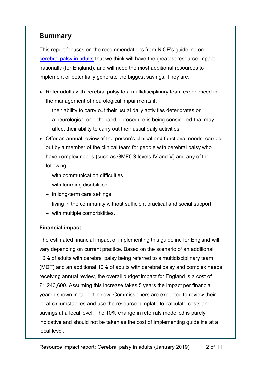### **Summary**

This report focuses on the recommendations from NICE's guideline on [cerebral palsy in adults](https://www.nice.org.uk/guidance/indevelopment/gid-ng10031/consultation/html-content-2) that we think will have the greatest resource impact nationally (for England), and will need the most additional resources to implement or potentially generate the biggest savings. They are:

- Refer adults with cerebral palsy to a multidisciplinary team experienced in the management of neurological impairments if:
	- $-$  their ability to carry out their usual daily activities deteriorates or
	- a neurological or orthopaedic procedure is being considered that may affect their ability to carry out their usual daily activities.
- Offer an annual review of the person's clinical and functional needs, carried out by a member of the clinical team for people with cerebral palsy who have complex needs (such as GMFCS levels IV and V) and any of the following:
	- with communication difficulties
	- with learning disabilities
	- $-$  in long-term care settings
	- living in the community without sufficient practical and social support
	- with multiple comorbidities.

#### **Financial impact**

The estimated financial impact of implementing this guideline for England will vary depending on current practice. Based on the scenario of an additional 10% of adults with cerebral palsy being referred to a multidisciplinary team (MDT) and an additional 10% of adults with cerebral palsy and complex needs receiving annual review, the overall budget impact for England is a cost of £1,243,600. Assuming this increase takes 5 years the impact per financial year in shown in table 1 below. Commissioners are expected to review their local circumstances and use the resource template to calculate costs and savings at a local level. The 10% change in referrals modelled is purely indicative and should not be taken as the cost of implementing guideline at a local level.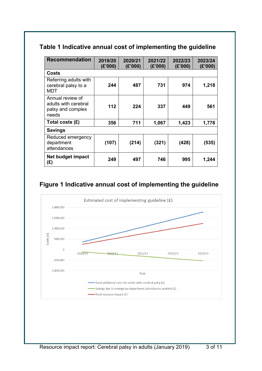### **Table 1 Indicative annual cost of implementing the guideline**

| <b>Recommendation</b>                                                  | 2019/20<br>(E'000) | 2020/21<br>(E'000) | 2021/22<br>(£'000) | 2022/23<br>(E'000) | 2023/24<br>(E'000) |  |
|------------------------------------------------------------------------|--------------------|--------------------|--------------------|--------------------|--------------------|--|
| Costs                                                                  |                    |                    |                    |                    |                    |  |
| Referring adults with<br>cerebral palsy to a<br>MDT                    | 244                | 487                | 731                | 974                | 1,218              |  |
| Annual review of<br>adults with cerebral<br>palsy and complex<br>needs | 112                | 224                | 337                | 449                | 561                |  |
| Total costs $(E)$                                                      | 356                | 711                | 1,067              | 1,423              | 1,778              |  |
| <b>Savings</b>                                                         |                    |                    |                    |                    |                    |  |
| Reduced emergency<br>department<br>attendances                         | (107)              | (214)              | (321)              | (428)              | (535)              |  |
| Net budget impact<br>(£)                                               | 249                | 497                | 746                | 995                | 1,244              |  |

### **Figure 1 Indicative annual cost of implementing the guideline**

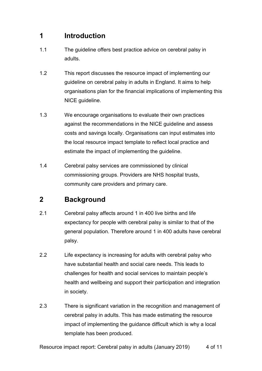### **1 Introduction**

- 1.1 The guideline offers best practice advice on cerebral palsy in adults.
- 1.2 This report discusses the resource impact of implementing our guideline on cerebral palsy in adults in England. It aims to help organisations plan for the financial implications of implementing this NICE guideline.
- 1.3 We encourage organisations to evaluate their own practices against the recommendations in the NICE guideline and assess costs and savings locally. Organisations can input estimates into the local resource impact template to reflect local practice and estimate the impact of implementing the guideline.
- 1.4 Cerebral palsy services are commissioned by clinical commissioning groups. Providers are NHS hospital trusts, community care providers and primary care.

### **2 Background**

- 2.1 Cerebral palsy affects around 1 in 400 live births and life expectancy for people with cerebral palsy is similar to that of the general population. Therefore around 1 in 400 adults have cerebral palsy.
- 2.2 Life expectancy is increasing for adults with cerebral palsy who have substantial health and social care needs. This leads to challenges for health and social services to maintain people's health and wellbeing and support their participation and integration in society.
- 2.3 There is significant variation in the recognition and management of cerebral palsy in adults. This has made estimating the resource impact of implementing the guidance difficult which is why a local template has been produced.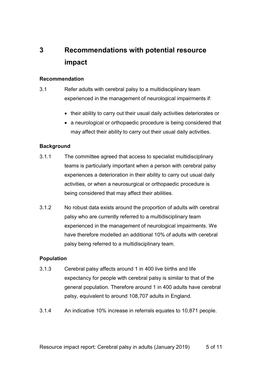### **3 Recommendations with potential resource impact**

#### **Recommendation**

- 3.1 Refer adults with cerebral palsy to a multidisciplinary team experienced in the management of neurological impairments if:
	- their ability to carry out their usual daily activities deteriorates or
	- a neurological or orthopaedic procedure is being considered that may affect their ability to carry out their usual daily activities.

#### **Background**

- 3.1.1 The committee agreed that access to specialist multidisciplinary teams is particularly important when a person with cerebral palsy experiences a deterioration in their ability to carry out usual daily activities, or when a neurosurgical or orthopaedic procedure is being considered that may affect their abilities.
- 3.1.2 No robust data exists around the proportion of adults with cerebral palsy who are currently referred to a multidisciplinary team experienced in the management of neurological impairments. We have therefore modelled an additional 10% of adults with cerebral palsy being referred to a multidisciplinary team.

#### **Population**

- 3.1.3 Cerebral palsy affects around 1 in 400 live births and life expectancy for people with cerebral palsy is similar to that of the general population. Therefore around 1 in 400 adults have cerebral palsy, equivalent to around 108,707 adults in England.
- 3.1.4 An indicative 10% increase in referrals equates to 10,871 people.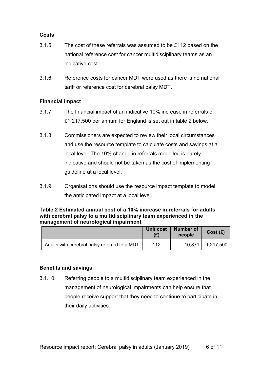#### **Costs**

- 3.1.5 The cost of these referrals was assumed to be £112 based on the national reference cost for cancer multidisciplinary teams as an indicative cost.
- 3.1.6 Reference costs for cancer MDT were used as there is no national tariff or reference cost for cerebral palsy MDT.

#### **Financial impact**

- 3.1.7 The financial impact of an indicative 10% increase in referrals of £1,217,500 per annum for England is set out in table 2 below.
- 3.1.8 Commissioners are expected to review their local circumstances and use the resource template to calculate costs and savings at a local level. The 10% change in referrals modelled is purely indicative and should not be taken as the cost of implementing guideline at a local level.
- 3.1.9 Organisations should use the resource impact template to model the anticipated impact at a local level.

#### **Table 2 Estimated annual cost of a 10% increase in referrals for adults with cerebral palsy to a multidisciplinary team experienced in the management of neurological impairment**

|                                              | Unit cost | <b>Number of</b><br>people | Cost(E)   |
|----------------------------------------------|-----------|----------------------------|-----------|
| Adults with cerebral palsy referred to a MDT | 112       | 10.871                     | 1,217,500 |

#### **Benefits and savings**

3.1.10 Referring people to a multidisciplinary team experienced in the management of neurological impairments can help ensure that people receive support that they need to continue to participate in their daily activities.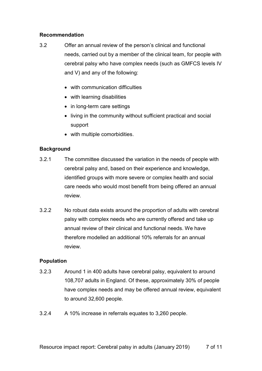#### **Recommendation**

- 3.2 Offer an annual review of the person's clinical and functional needs, carried out by a member of the clinical team, for people with cerebral palsy who have complex needs (such as GMFCS levels IV and V) and any of the following:
	- with communication difficulties
	- with learning disabilities
	- in long-term care settings
	- living in the community without sufficient practical and social support
	- with multiple comorbidities.

#### **Background**

- 3.2.1 The committee discussed the variation in the needs of people with cerebral palsy and, based on their experience and knowledge, identified groups with more severe or complex health and social care needs who would most benefit from being offered an annual review.
- 3.2.2 No robust data exists around the proportion of adults with cerebral palsy with complex needs who are currently offered and take up annual review of their clinical and functional needs. We have therefore modelled an additional 10% referrals for an annual review.

#### **Population**

- 3.2.3 Around 1 in 400 adults have cerebral palsy, equivalent to around 108,707 adults in England. Of these, approximately 30% of people have complex needs and may be offered annual review, equivalent to around 32,600 people.
- 3.2.4 A 10% increase in referrals equates to 3,260 people.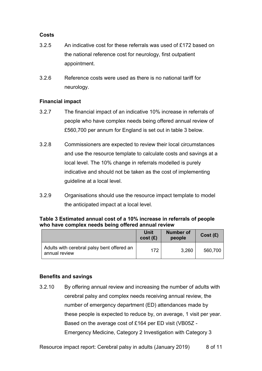#### **Costs**

- 3.2.5 An indicative cost for these referrals was used of £172 based on the national reference cost for neurology, first outpatient appointment.
- 3.2.6 Reference costs were used as there is no national tariff for neurology.

#### **Financial impact**

- 3.2.7 The financial impact of an indicative 10% increase in referrals of people who have complex needs being offered annual review of £560,700 per annum for England is set out in table 3 below.
- 3.2.8 Commissioners are expected to review their local circumstances and use the resource template to calculate costs and savings at a local level. The 10% change in referrals modelled is purely indicative and should not be taken as the cost of implementing guideline at a local level.
- 3.2.9 Organisations should use the resource impact template to model the anticipated impact at a local level.

#### **Table 3 Estimated annual cost of a 10% increase in referrals of people who have complex needs being offered annual review**

|                                                             | Unit<br>cost(E) | <b>Number of</b><br>people | Cost(E) |
|-------------------------------------------------------------|-----------------|----------------------------|---------|
| Adults with cerebral palsy bent offered an<br>annual review | 172             | 3,260                      | 560,700 |

#### **Benefits and savings**

3.2.10 By offering annual review and increasing the number of adults with cerebral palsy and complex needs receiving annual review, the number of emergency department (ED) attendances made by these people is expected to reduce by, on average, 1 visit per year. Based on the average cost of £164 per ED visit (VB05Z - Emergency Medicine, Category 2 Investigation with Category 3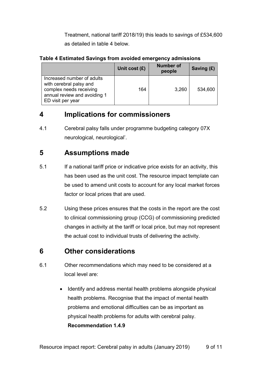Treatment, national tariff 2018/19) this leads to savings of £534,600 as detailed in table 4 below.

#### **Table 4 Estimated Savings from avoided emergency admissions**

|                                                                                                                                       | Unit cost $(E)$ | <b>Number of</b><br>people | Saving $(E)$ |
|---------------------------------------------------------------------------------------------------------------------------------------|-----------------|----------------------------|--------------|
| Increased number of adults<br>with cerebral palsy and<br>complex needs receiving<br>annual review and avoiding 1<br>ED visit per year | 164             | 3,260                      | 534,600      |

### **4 Implications for commissioners**

4.1 Cerebral palsy falls under programme budgeting category 07X neurological, neurological'.

### **5 Assumptions made**

- 5.1 If a national tariff price or indicative price exists for an activity, this has been used as the unit cost. The resource impact template can be used to amend unit costs to account for any local market forces factor or local prices that are used.
- 5.2 Using these prices ensures that the costs in the report are the cost to clinical commissioning group (CCG) of commissioning predicted changes in activity at the tariff or local price, but may not represent the actual cost to individual trusts of delivering the activity.

### **6 Other considerations**

- 6.1 Other recommendations which may need to be considered at a local level are:
	- Identify and address mental health problems alongside physical health problems. Recognise that the impact of mental health problems and emotional difficulties can be as important as physical health problems for adults with cerebral palsy. **Recommendation 1.4.9**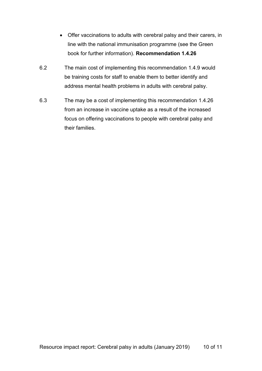- Offer vaccinations to adults with cerebral palsy and their carers, in line with the national immunisation programme (see the Green book for further information). **Recommendation 1.4.26**
- 6.2 The main cost of implementing this recommendation 1.4.9 would be training costs for staff to enable them to better identify and address mental health problems in adults with cerebral palsy.
- 6.3 The may be a cost of implementing this recommendation 1.4.26 from an increase in vaccine uptake as a result of the increased focus on offering vaccinations to people with cerebral palsy and their families.